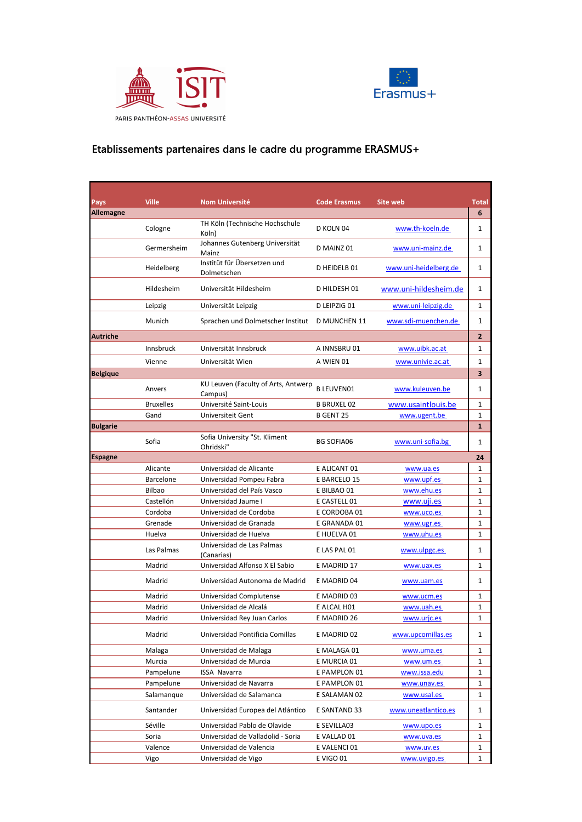



## Etablissements partenaires dans le cadre du programme ERASMUS+

| Pays             | <b>Ville</b>     | <b>Nom Université</b>                          | <b>Code Erasmus</b> | <b>Site web</b>       | <b>Total</b> |
|------------------|------------------|------------------------------------------------|---------------------|-----------------------|--------------|
| <b>Allemagne</b> |                  |                                                |                     |                       | 6            |
|                  | Cologne          | TH Köln (Technische Hochschule                 | D KOLN 04           | www.th-koeln.de       | 1            |
|                  | Germersheim      | Köln)<br>Johannes Gutenberg Universität        | D MAINZ 01          | www.uni-mainz.de      | 1            |
|                  | Heidelberg       | Mainz<br>Institüt für Übersetzen und           | D HEIDELB 01        | www.uni-heidelberg.de | 1            |
|                  |                  | Dolmetschen                                    |                     |                       |              |
|                  | Hildesheim       | Universität Hildesheim                         | D HILDESH 01        | www.uni-hildesheim.de | 1            |
|                  | Leipzig          | Universität Leipzig                            | D LEIPZIG 01        | www.uni-leipzig.de    | 1            |
|                  | Munich           | Sprachen und Dolmetscher Institut              | D MUNCHEN 11        | www.sdi-muenchen.de   | 1            |
| <b>Autriche</b>  |                  |                                                |                     |                       | 2            |
|                  | <b>Innsbruck</b> | Universität Innsbruck                          | A INNSBRU 01        | www.uibk.ac.at        | 1            |
|                  | Vienne           | Universität Wien                               | A WIEN 01           | www.univie.ac.at      | 1            |
| <b>Belgique</b>  |                  |                                                |                     |                       | 3            |
|                  | Anvers           | KU Leuven (Faculty of Arts, Antwerp<br>Campus) | <b>B LEUVEN01</b>   | www.kuleuven.be       | 1            |
|                  | <b>Bruxelles</b> | Université Saint-Louis                         | <b>B BRUXEL 02</b>  | www.usaintlouis.be    | 1            |
|                  | Gand             | Universiteit Gent                              | <b>B GENT 25</b>    | www.ugent.be          | 1            |
| <b>Bulgarie</b>  |                  |                                                |                     |                       | $\mathbf{1}$ |
|                  | Sofia            | Sofia University "St. Kliment<br>Ohridski"     | <b>BG SOFIA06</b>   | www.uni-sofia.bg      | 1            |
| <b>Espagne</b>   |                  |                                                |                     |                       | 24           |
|                  | Alicante         | Universidad de Alicante                        | E ALICANT 01        | www.ua.es             | 1            |
|                  | <b>Barcelone</b> | Universidad Pompeu Fabra                       | E BARCELO 15        | www.upf.es            | 1            |
|                  | <b>Bilbao</b>    | Universidad del País Vasco                     | E BILBAO 01         | www.ehu.es            | 1            |
|                  | Castellón        | Universidad Jaume I                            | E CASTELL 01        | www.uji.es            | 1            |
|                  | Cordoba          | Universidad de Cordoba                         | E CORDOBA 01        | www.uco.es            | 1            |
|                  | Grenade          | Universidad de Granada                         | E GRANADA 01        | www.ugr.es            | 1            |
|                  | Huelva           | Universidad de Huelva                          | E HUELVA 01         | www.uhu.es            | 1            |
|                  | Las Palmas       | Universidad de Las Palmas<br>(Canarias)        | E LAS PAL 01        | www.ulpgc.es          | 1            |
|                  | Madrid           | Universidad Alfonso X El Sabio                 | E MADRID 17         | www.uax.es            | 1            |
|                  | Madrid           | Universidad Autonoma de Madrid                 | E MADRID 04         | www.uam.es            | 1            |
|                  | Madrid           | Universidad Complutense                        | E MADRID 03         | www.ucm.es            | 1            |
|                  | Madrid           | Universidad de Alcalá                          | E ALCAL H01         | www.uah.es            | 1            |
|                  | Madrid           | Universidad Rey Juan Carlos                    | E MADRID 26         | www.urjc.es           | 1            |
|                  | Madrid           | Universidad Pontificia Comillas                | E MADRID 02         | www.upcomillas.es     | 1            |
|                  | Malaga           | Universidad de Malaga                          | E MALAGA 01         | www.uma.es            | 1            |
|                  | Murcia           | Universidad de Murcia                          | E MURCIA 01         | www.um.es             | 1            |
|                  | Pampelune        | <b>ISSA Navarra</b>                            | E PAMPLON 01        | www.issa.edu          | 1            |
|                  | Pampelune        | Universidad de Navarra                         | E PAMPLON 01        | www.unav.es           | 1            |
|                  | Salamanque       | Universidad de Salamanca                       | E SALAMAN 02        | www.usal.es           | 1            |
|                  | Santander        | Universidad Europea del Atlántico              | E SANTAND 33        | www.uneatlantico.es   | 1            |
|                  | Séville          | Universidad Pablo de Olavide                   | E SEVILLA03         | www.upo.es            | 1            |
|                  | Soria            | Universidad de Valladolid - Soria              | E VALLAD 01         | www.uva.es            | 1            |
|                  | Valence          | Universidad de Valencia                        | E VALENCI 01        | www.uv.es             | 1            |
|                  | Vigo             | Universidad de Vigo                            | E VIGO 01           | www.uvigo.es          | 1            |